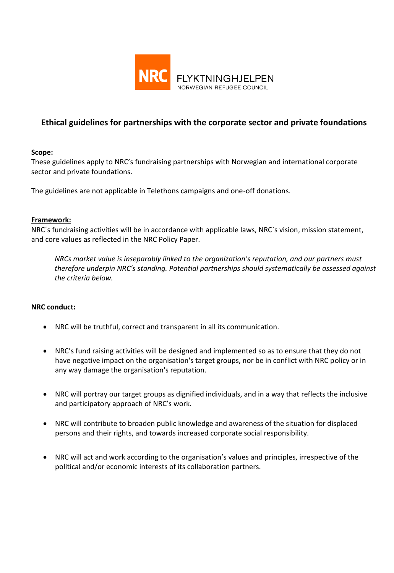

# **Ethical guidelines for partnerships with the corporate sector and private foundations**

## **Scope:**

These guidelines apply to NRC's fundraising partnerships with Norwegian and international corporate sector and private foundations.

The guidelines are not applicable in Telethons campaigns and one-off donations.

## **Framework:**

NRC´s fundraising activities will be in accordance with applicable laws, NRC`s vision, mission statement, and core values as reflected in the NRC Policy Paper.

*NRCs market value is inseparably linked to the organization's reputation, and our partners must therefore underpin NRC's standing. Potential partnerships should systematically be assessed against the criteria below.* 

#### **NRC conduct:**

- NRC will be truthful, correct and transparent in all its communication.
- NRC's fund raising activities will be designed and implemented so as to ensure that they do not have negative impact on the organisation's target groups, nor be in conflict with NRC policy or in any way damage the organisation's reputation.
- NRC will portray our target groups as dignified individuals, and in a way that reflects the inclusive and participatory approach of NRC's work.
- NRC will contribute to broaden public knowledge and awareness of the situation for displaced persons and their rights, and towards increased corporate social responsibility.
- NRC will act and work according to the organisation's values and principles, irrespective of the political and/or economic interests of its collaboration partners.